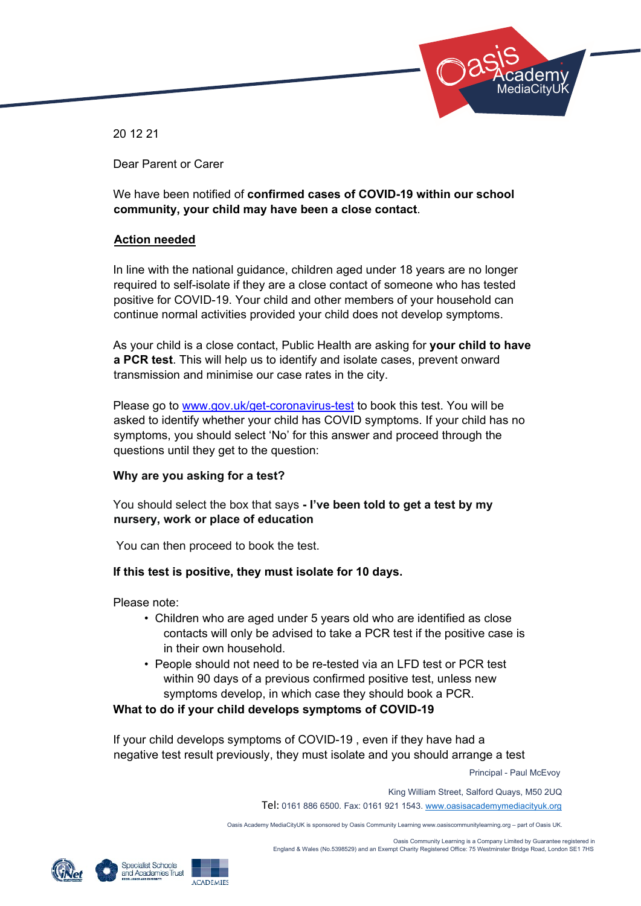

20 12 21

Dear Parent or Carer

We have been notified of **confirmed cases of COVID-19 within our school community, your child may have been a close contact**.

# **Action needed**

In line with the national guidance, children aged under 18 years are no longer required to self-isolate if they are a close contact of someone who has tested positive for COVID-19. Your child and other members of your household can continue normal activities provided your child does not develop symptoms.

As your child is a close contact, Public Health are asking for **your child to have a PCR test**. This will help us to identify and isolate cases, prevent onward transmission and minimise our case rates in the city.

Please go to www.gov.uk/get-coronavirus-test to book this test. You will be asked to identify whether your child has COVID symptoms. If your child has no symptoms, you should select 'No' for this answer and proceed through the questions until they get to the question:

# **Why are you asking for a test?**

You should select the box that says **- I've been told to get a test by my nursery, work or place of education** 

You can then proceed to book the test.

# **If this test is positive, they must isolate for 10 days.**

Please note:

- Children who are aged under 5 years old who are identified as close contacts will only be advised to take a PCR test if the positive case is in their own household.
- People should not need to be re-tested via an LFD test or PCR test within 90 days of a previous confirmed positive test, unless new symptoms develop, in which case they should book a PCR.

**What to do if your child develops symptoms of COVID-19** 

If your child develops symptoms of COVID-19 , even if they have had a negative test result previously, they must isolate and you should arrange a test

Principal - Paul McEvoy

King William Street, Salford Quays, M50 2UQ

Tel: 0161 886 6500. Fax: 0161 921 1543. www.oasisacademymediacityuk.org

Oasis Academy MediaCityUK is sponsored by Oasis Community Learning www.oasiscommunitylearning.org – part of Oasis UK.

 Oasis Community Learning is a Company Limited by Guarantee registered in England & Wales (No.5398529) and an Exempt Charity Registered Office: 75 Westminster Bridge Road, London SE1 7HS

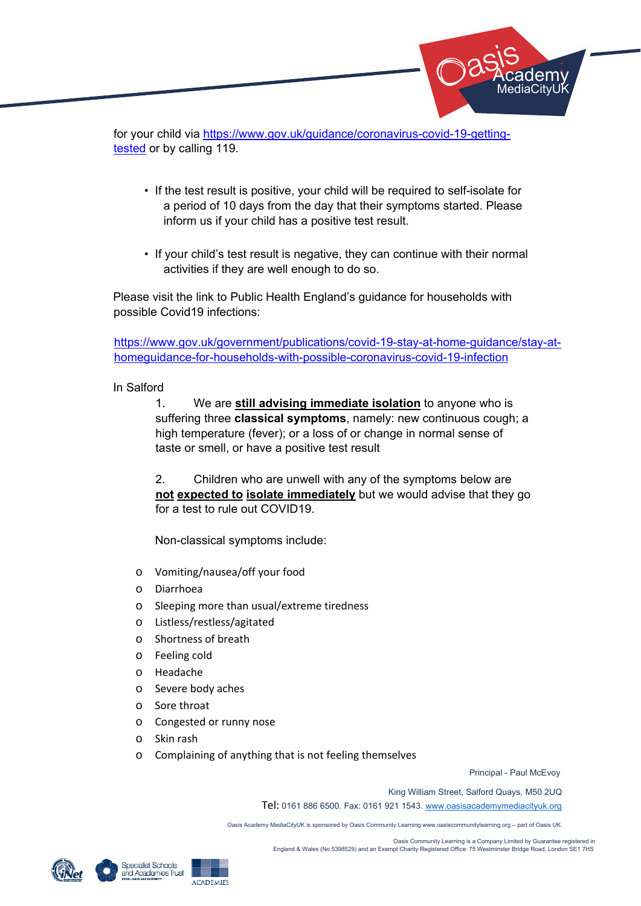for your child via https://www.gov.uk/guidance/coronavirus-covid-19-gettingtested or by calling 119.

- If the test result is positive, your child will be required to self-isolate for a period of 10 days from the day that their symptoms started. Please inform us if your child has a positive test result.
- If your child's test result is negative, they can continue with their normal activities if they are well enough to do so.

Please visit the link to Public Health England's guidance for households with possible Covid19 infections:

https://www.gov.uk/government/publications/covid-19-stay-at-home-guidance/stay-athomeguidance-for-households-with-possible-coronavirus-covid-19-infection

In Salford

1. We are **still advising immediate isolation** to anyone who is suffering three **classical symptoms**, namely: new continuous cough; a high temperature (fever); or a loss of or change in normal sense of taste or smell, or have a positive test result

2. Children who are unwell with any of the symptoms below are **not expected to isolate immediately** but we would advise that they go for a test to rule out COVID19.

Non-classical symptoms include:

- o Vomiting/nausea/off your food
- o Diarrhoea
- o Sleeping more than usual/extreme tiredness
- o Listless/restless/agitated
- o Shortness of breath
- o Feeling cold
- o Headache
- o Severe body aches
- o Sore throat
- o Congested or runny nose
- o Skin rash
- o Complaining of anything that is not feeling themselves

Principal - Paul McEvoy

 Academy: lediaCitvU**i** 

King William Street, Salford Quays, M50 2UQ

Tel: 0161 886 6500. Fax: 0161 921 1543. www.oasisacademymediacityuk.org

Oasis Academy MediaCityUK is sponsored by Oasis Community Learning www.oasiscommunitylearning.org – part of Oasis UK.

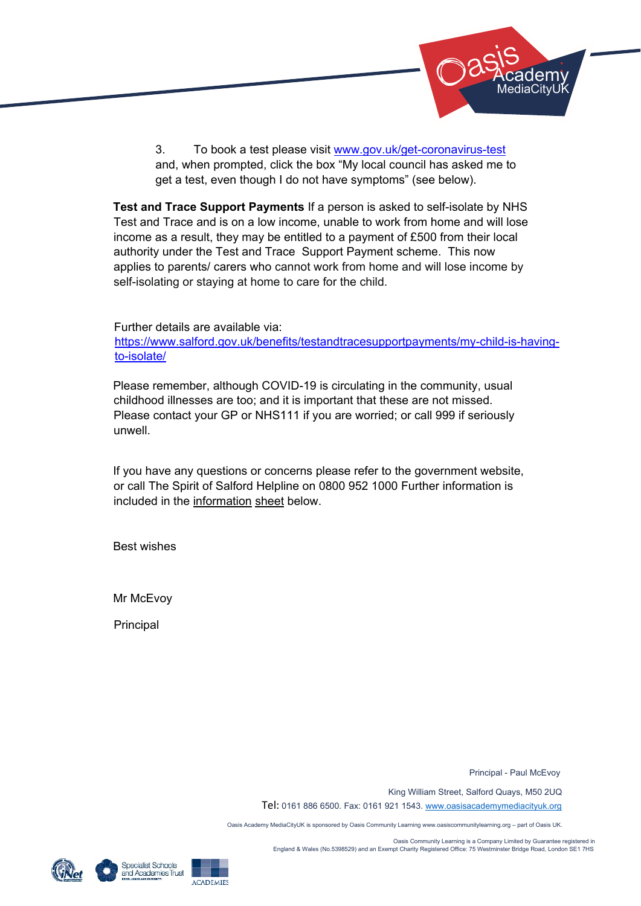

3. To book a test please visit www.gov.uk/get-coronavirus-test and, when prompted, click the box "My local council has asked me to get a test, even though I do not have symptoms" (see below).

**Test and Trace Support Payments** If a person is asked to self-isolate by NHS Test and Trace and is on a low income, unable to work from home and will lose income as a result, they may be entitled to a payment of £500 from their local authority under the Test and Trace Support Payment scheme. This now applies to parents/ carers who cannot work from home and will lose income by self-isolating or staying at home to care for the child.

Further details are available via:

https://www.salford.gov.uk/benefits/testandtracesupportpayments/my-child-is-havingto-isolate/

Please remember, although COVID-19 is circulating in the community, usual childhood illnesses are too; and it is important that these are not missed. Please contact your GP or NHS111 if you are worried; or call 999 if seriously unwell.

If you have any questions or concerns please refer to the government website, or call The Spirit of Salford Helpline on 0800 952 1000 Further information is included in the information sheet below.

Best wishes

Mr McEvoy

Principal

Principal - Paul McEvoy

King William Street, Salford Quays, M50 2UQ

Tel: 0161 886 6500. Fax: 0161 921 1543. www.oasisacademymediacityuk.org

Oasis Academy MediaCityUK is sponsored by Oasis Community Learning www.oasiscommunitylearning.org – part of Oasis UK.

 Oasis Community Learning is a Company Limited by Guarantee registered in England & Wales (No.5398529) and an Exempt Charity Registered Office: 75 Westminster Bridge Road, London SE1 7HS





**ACADEMIES**